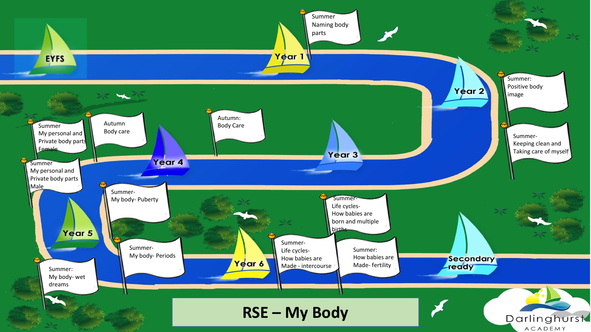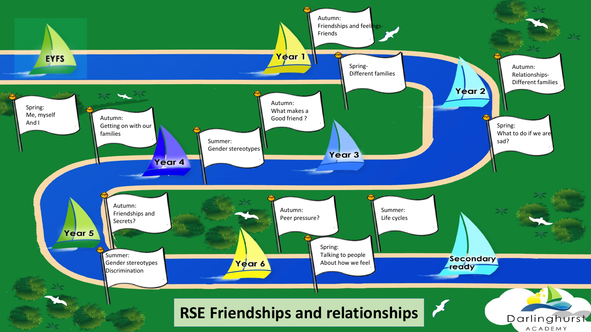